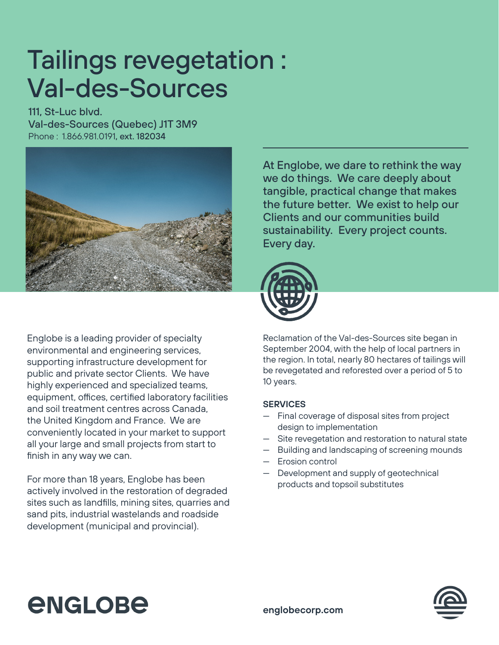## Tailings revegetation : Val-des-Sources

111, St-Luc blvd. Val-des-Sources (Quebec) J1T 3M9 Phone : 1.866.981.0191, ext. 182034



At Englobe, we dare to rethink the way we do things. We care deeply about tangible, practical change that makes the future better. We exist to help our Clients and our communities build sustainability. Every project counts. Every day.



Englobe is a leading provider of specialty environmental and engineering services, supporting infrastructure development for public and private sector Clients. We have highly experienced and specialized teams, equipment, offices, certified laboratory facilities and soil treatment centres across Canada, the United Kingdom and France. We are conveniently located in your market to support all your large and small projects from start to finish in any way we can.

For more than 18 years, Englobe has been actively involved in the restoration of degraded sites such as landfills, mining sites, quarries and sand pits, industrial wastelands and roadside development (municipal and provincial).

Reclamation of the Val-des-Sources site began in September 2004, with the help of local partners in the region. In total, nearly 80 hectares of tailings will be revegetated and reforested over a period of 5 to 10 years.

## **SERVICES**

- Final coverage of disposal sites from project design to implementation
- Site revegetation and restoration to natural state
- Building and landscaping of screening mounds
- Erosion control
- Development and supply of geotechnical products and topsoil substitutes